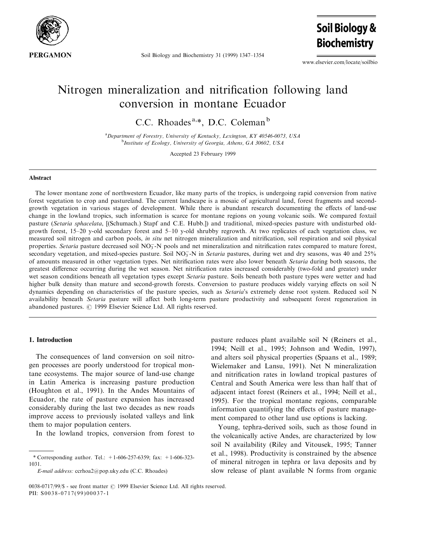

Soil Biology and Biochemistry 31 (1999) 1347-1354

www.elsevier.com/locate/soilbio

**Soil Biology &** 

**Biochemistry** 

# Nitrogen mineralization and nitrification following land conversion in montane Ecuador

C.C. Rhoades<sup>a,\*</sup>, D.C. Coleman<sup>b</sup>

<sup>a</sup> Department of Forestry, University of Kentucky, Lexington, KY 40546-0073, USA <sup>b</sup>Institute of Ecology, University of Georgia, Athens, GA 30602, USA

Accepted 23 February 1999

#### Abstract

The lower montane zone of northwestern Ecuador, like many parts of the tropics, is undergoing rapid conversion from native forest vegetation to crop and pastureland. The current landscape is a mosaic of agricultural land, forest fragments and secondgrowth vegetation in various stages of development. While there is abundant research documenting the effects of land-use change in the lowland tropics, such information is scarce for montane regions on young volcanic soils. We compared foxtail pasture (Setaria sphacelata, [(Schumach.) Stapf and C.E. Hubb.]) and traditional, mixed-species pasture with undisturbed oldgrowth forest,  $15-20$  y-old secondary forest and  $5-10$  y-old shrubby regrowth. At two replicates of each vegetation class, we measured soil nitrogen and carbon pools, in situ net nitrogen mineralization and nitrification, soil respiration and soil physical properties. Setaria pasture decreased soil  $NO_3^-N$  pools and net mineralization and nitrification rates compared to mature forest, secondary vegetation, and mixed-species pasture. Soil  $NO<sub>3</sub>$ -N in *Setaria* pastures, during wet and dry seasons, was 40 and 25% of amounts measured in other vegetation types. Net nitrification rates were also lower beneath Setaria during both seasons, the greatest difference occurring during the wet season. Net nitrification rates increased considerably (two-fold and greater) under wet season conditions beneath all vegetation types except Setaria pasture. Soils beneath both pasture types were wetter and had higher bulk density than mature and second-growth forests. Conversion to pasture produces widely varying effects on soil N dynamics depending on characteristics of the pasture species, such as Setaria's extremely dense root system. Reduced soil N availability beneath Setaria pasture will affect both long-term pasture productivity and subsequent forest regeneration in abandoned pastures.  $\odot$  1999 Elsevier Science Ltd. All rights reserved.

#### 1. Introduction

The consequences of land conversion on soil nitrogen processes are poorly understood for tropical montane ecosystems. The major source of land-use change in Latin America is increasing pasture production (Houghton et al., 1991). In the Andes Mountains of Ecuador, the rate of pasture expansion has increased considerably during the last two decades as new roads improve access to previously isolated valleys and link them to major population centers.

In the lowland tropics, conversion from forest to

E-mail address: ccrhoa2@pop.uky.edu (C.C. Rhoades)

pasture reduces plant available soil N (Reiners et al., 1994; Neill et al., 1995; Johnson and Wedin, 1997), and alters soil physical properties (Spaans et al., 1989; Wielemaker and Lansu, 1991). Net N mineralization and nitrification rates in lowland tropical pastures of Central and South America were less than half that of adjacent intact forest (Reiners et al., 1994; Neill et al., 1995). For the tropical montane regions, comparable information quantifying the effects of pasture management compared to other land use options is lacking.

Young, tephra-derived soils, such as those found in the volcanically active Andes, are characterized by low soil N availability (Riley and Vitousek, 1995; Tanner et al., 1998). Productivity is constrained by the absence of mineral nitrogen in tephra or lava deposits and by slow release of plant available N forms from organic

<sup>\*</sup> Corresponding author. Tel.: +1-606-257-6359; fax: +1-606-323- 1031.

<sup>0038-0717/99/\$ -</sup> see front matter © 1999 Elsevier Science Ltd. All rights reserved. PII: S0038-0717(99)00037-1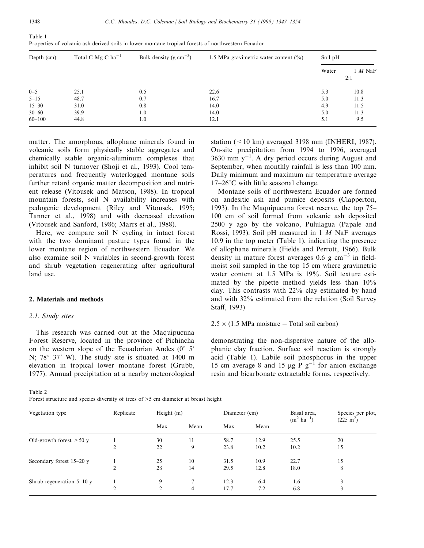| Depth (cm) | Total C Mg C $ha^{-1}$ | Bulk density (g $\text{cm}^{-3}$ ) | 1.5 MPa gravimetric water content $(\% )$ | Soil pH |                  |  |
|------------|------------------------|------------------------------------|-------------------------------------------|---------|------------------|--|
|            |                        |                                    |                                           | Water   | $1$ M NaF<br>2:1 |  |
| $0 - 5$    | 25.1                   | 0.5                                | 22.6                                      | 5.3     | 10.8             |  |
| $5 - 15$   | 48.7                   | 0.7                                | 16.7                                      | 5.0     | 11.3             |  |
| $15 - 30$  | 31.0                   | 0.8                                | 14.0                                      | 4.9     | 11.5             |  |
| $30 - 60$  | 39.9                   | 1.0                                | 14.0                                      | 5.0     | 11.3             |  |
| $60 - 100$ | 44.8                   | 1.0                                | 12.1                                      | 5.1     | 9.5              |  |

Properties of volcanic ash derived soils in lower montane tropical forests of northwestern Ecuador

matter. The amorphous, allophane minerals found in volcanic soils form physically stable aggregates and chemically stable organic-aluminum complexes that inhibit soil N turnover (Shoji et al., 1993). Cool temperatures and frequently waterlogged montane soils further retard organic matter decomposition and nutrient release (Vitousek and Matson, 1988). In tropical mountain forests, soil N availability increases with pedogenic development (Riley and Vitousek, 1995; Tanner et al., 1998) and with decreased elevation (Vitousek and Sanford, 1986; Marrs et al., 1988).

Here, we compare soil N cycling in intact forest with the two dominant pasture types found in the lower montane region of northwestern Ecuador. We also examine soil N variables in second-growth forest and shrub vegetation regenerating after agricultural land use.

### 2. Materials and methods

#### 2.1. Study sites

This research was carried out at the Maquipucuna Forest Reserve, located in the province of Pichincha on the western slope of the Ecuadorian Andes  $(0^{\circ} 5'$ N;  $78^{\circ}$  37' W). The study site is situated at 1400 m elevation in tropical lower montane forest (Grubb, 1977). Annual precipitation at a nearby meteorological station (<10 km) averaged 3198 mm (INHERI, 1987). On-site precipitation from 1994 to 1996, averaged 3630 mm  $y^{-1}$ . A dry period occurs during August and September, when monthly rainfall is less than 100 mm. Daily minimum and maximum air temperature average  $17-26$ °C with little seasonal change.

Montane soils of northwestern Ecuador are formed on andesitic ash and pumice deposits (Clapperton, 1993). In the Maquipucuna forest reserve, the top 75-100 cm of soil formed from volcanic ash deposited 2500 y ago by the volcano, Pululagua (Papale and Rossi, 1993). Soil pH measured in  $1 \, M$  NaF averages 10.9 in the top meter (Table 1), indicating the presence of allophane minerals (Fields and Perrott, 1966). Bulk density in mature forest averages 0.6 g  $cm^{-3}$  in fieldmoist soil sampled in the top 15 cm where gravimetric water content at 1.5 MPa is 19%. Soil texture estimated by the pipette method yields less than 10% clay. This contrasts with 22% clay estimated by hand and with 32% estimated from the relation (Soil Survey Staff, 1993)

# $2.5 \times (1.5 \text{ MPa moisture} - \text{Total soil carbon})$

demonstrating the non-dispersive nature of the allophanic clay fraction. Surface soil reaction is strongly acid (Table 1). Labile soil phosphorus in the upper 15 cm average 8 and 15  $\mu$ g  $\bar{P}g^{-1}$  for anion exchange resin and bicarbonate extractable forms, respectively.

Table 2

Forest structure and species diversity of trees of  $\geq$ 5 cm diameter at breast height

| Vegetation type            | Replicate      | Height $(m)$   |                | Diameter (cm) |      | Basal area,<br>$(m^2 \text{ ha}^{-1})$ | Species per plot,<br>$(225 \text{ m}^2)$ |  |
|----------------------------|----------------|----------------|----------------|---------------|------|----------------------------------------|------------------------------------------|--|
|                            |                | Max            | Mean           | Max           | Mean |                                        |                                          |  |
| Old-growth forest $> 50$ y |                | 30             | 11             | 58.7          | 12.9 | 25.5                                   | 20                                       |  |
|                            | 2              | 22             | 9              | 23.8          | 10.2 | 10.2                                   | 15                                       |  |
| Secondary forest 15–20 y   |                | 25             | 10             | 31.5          | 10.9 | 22.7                                   | 15                                       |  |
|                            | $\overline{2}$ | 28             | 14             | 29.5          | 12.8 | 18.0                                   | 8                                        |  |
| Shrub regeneration $5-10y$ |                | 9              |                | 12.3          | 6.4  | 1.6                                    | 3                                        |  |
|                            | ↑              | $\overline{2}$ | $\overline{4}$ | 17.7          | 7.2  | 6.8                                    | 3                                        |  |

Table 1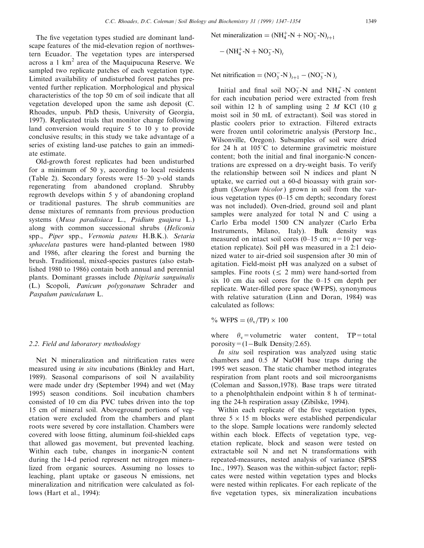The five vegetation types studied are dominant landscape features of the mid-elevation region of northwestern Ecuador. The vegetation types are interspersed across a 1  $km<sup>2</sup>$  area of the Maquipucuna Reserve. We sampled two replicate patches of each vegetation type. Limited availability of undisturbed forest patches prevented further replication. Morphological and physical characteristics of the top 50 cm of soil indicate that all vegetation developed upon the same ash deposit (C. Rhoades, unpub. PhD thesis, University of Georgia, 1997). Replicated trials that monitor change following land conversion would require 5 to 10 y to provide conclusive results; in this study we take advantage of a series of existing land-use patches to gain an immediate estimate.

Old-growth forest replicates had been undisturbed for a minimum of 50 y, according to local residents (Table 2). Secondary forests were  $15-20$  y-old stands regenerating from abandoned cropland. Shrubby regrowth develops within 5 y of abandoning cropland or traditional pastures. The shrub communities are dense mixtures of remnants from previous production systems (Musa paradisiaca L., Psidium guajava L.) along with common successional shrubs (Heliconia spp., Piper spp., Vernonia patens H.B.K.). Setaria sphacelata pastures were hand-planted between 1980 and 1986, after clearing the forest and burning the brush. Traditional, mixed-species pastures (also established 1980 to 1986) contain both annual and perennial plants. Dominant grasses include Digitaria sanguinalis (L.) Scopoli, Panicum polygonatum Schrader and Paspalum paniculatum L.

#### 2.2. Field and laboratory methodology

Net N mineralization and nitrification rates were measured using *in situ* incubations (Binkley and Hart, 1989). Seasonal comparisons of soil N availability were made under dry (September 1994) and wet (May 1995) season conditions. Soil incubation chambers consisted of 10 cm dia PVC tubes driven into the top 15 cm of mineral soil. Aboveground portions of vegetation were excluded from the chambers and plant roots were severed by core installation. Chambers were covered with loose fitting, aluminum foil-shielded caps that allowed gas movement, but prevented leaching. Within each tube, changes in inorganic-N content during the 14-d period represent net nitrogen mineralized from organic sources. Assuming no losses to leaching, plant uptake or gaseous N emissions, net mineralization and nitrification were calculated as follows (Hart et al., 1994):

Net mineralization =  $(NH_4^+$ -N +  $NO_3^-$ -N)<sub>t+1</sub>

$$
-(NH_4^+\text{-}N + NO_3^-\text{-}N)_t
$$

Net nitrification =  $(NO_3^- - N)_{t+1} - (NO_3^- - N)_{t}$ 

Initial and final soil  $NO_3^-$ -N and  $NH_4^+$ -N content for each incubation period were extracted from fresh soil within 12 h of sampling using 2  $M$  KCl (10 g moist soil in 50 mL of extractant). Soil was stored in plastic coolers prior to extraction. Filtered extracts were frozen until colorimetric analysis (Perstorp Inc., Wilsonville, Oregon). Subsamples of soil were dried for 24 h at  $105^{\circ}$ C to determine gravimetric moisture content; both the initial and final inorganic- $N$  concentrations are expressed on a dry-weight basis. To verify the relationship between soil N indices and plant N uptake, we carried out a 60-d bioassay with grain sorghum (Sorghum bicolor) grown in soil from the various vegetation types  $(0-15 \text{ cm depth};$  secondary forest was not included). Oven-dried, ground soil and plant samples were analyzed for total N and C using a Carlo Erba model 1500 CN analyzer (Carlo Erba Instruments, Milano, Italy). Bulk density was measured on intact soil cores (0–15 cm;  $n=10$  per vegetation replicate). Soil pH was measured in a 2:1 deionized water to air-dried soil suspension after 30 min of agitation. Field-moist pH was analyzed on a subset of samples. Fine roots ( $\leq$  2 mm) were hand-sorted from six 10 cm dia soil cores for the  $0-15$  cm depth per replicate. Water-filled pore space (WFPS), synonymous with relative saturation (Linn and Doran, 1984) was calculated as follows:

% WFPS =  $(\theta_{\rm v}/TP) \times 100$ 

where  $\theta_y$ =volumetric water content, TP=total porosity= $(1-Bulk$  Density/2.65).

In situ soil respiration was analyzed using static chambers and 0.5 M NaOH base traps during the 1995 wet season. The static chamber method integrates respiration from plant roots and soil microorganisms (Coleman and Sasson,1978). Base traps were titrated to a phenolphthalein endpoint within 8 h of terminating the 24-h respiration assay (Zibilske, 1994).

Within each replicate of the five vegetation types, three  $5 \times 15$  m blocks were established perpendicular to the slope. Sample locations were randomly selected within each block. Effects of vegetation type, vegetation replicate, block and season were tested on extractable soil N and net N transformations with repeated-measures, nested analysis of variance (SPSS Inc., 1997). Season was the within-subject factor; replicates were nested within vegetation types and blocks were nested within replicates. For each replicate of the five vegetation types, six mineralization incubations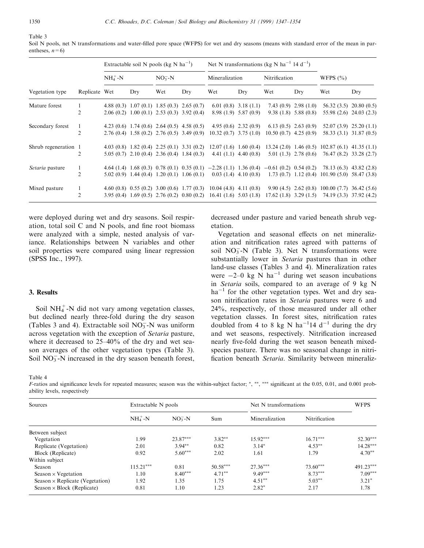Table 3

Soil N pools, net N transformations and water-filled pore space (WFPS) for wet and dry seasons (means with standard error of the mean in parentheses,  $n=6$ )

|                      | Replicate Wet | Extractable soil N pools (kg N $ha^{-1}$ ) |     |         |                                                 | Net N transformations (kg N ha <sup>-1</sup> 14 d <sup>-1</sup> )                          |                           |                         |                         |                                                                                                                   |                           |
|----------------------|---------------|--------------------------------------------|-----|---------|-------------------------------------------------|--------------------------------------------------------------------------------------------|---------------------------|-------------------------|-------------------------|-------------------------------------------------------------------------------------------------------------------|---------------------------|
|                      |               | $NH_4^+$ -N                                |     | $NO3-N$ |                                                 | Mineralization                                                                             |                           | Nitrification           |                         | WFPS $(\% )$                                                                                                      |                           |
| Vegetation type      |               |                                            | Dry | Wet     | Dry                                             | Wet                                                                                        | Dry                       | Wet                     | Dry                     | Wet                                                                                                               | Dry                       |
| Mature forest        |               |                                            |     |         | 4.88 (0.3) 1.07 (0.1) 1.85 (0.3) 2.65 (0.7)     |                                                                                            | $6.01(0.8)$ 3.18 (1.1)    |                         | $7.43(0.9)$ 2.98 (1.0)  |                                                                                                                   | $56.32(3.5)$ $20.80(0.5)$ |
|                      | 2             |                                            |     |         | $2.06(0.2)$ 1.00 (0.1) 2.53 (0.3) 3.92 (0.4)    |                                                                                            | $8.98(1.9)$ 5.87 (0.9)    |                         | $9.38(1.8)$ 5.88 (0.8)  |                                                                                                                   | 55.98 (2.6) 24.03 (2.3)   |
| Secondary forest     | 1             |                                            |     |         | 4.23 (0.6) 1.74 (0.6) 2.64 (0.5) 4.58 (0.5)     |                                                                                            | $4.95(0.6)$ $2.32(0.9)$   |                         | $6.13(0.5)$ 2.63 (0.9)  |                                                                                                                   | $52.07(3.9)$ $25.20(1.1)$ |
|                      | 2             |                                            |     |         | $2.76(0.4)$ 1.58 (0.2) 2.76 (0.5) 3.49 (0.9)    | $10.32(0.7)$ 3.75 (1.0)                                                                    |                           | $10.50(0.7)$ 4.25 (0.9) |                         |                                                                                                                   | 58.33 (3.1) 31.87 (0.5)   |
| Shrub regeneration 1 |               |                                            |     |         | 4.03 (0.8) 1.82 (0.4) 2.25 (0.1) 3.31 (0.2)     | 12.07(1.6) 1.60(0.4)                                                                       |                           | $13.24(2.0)$ 1.46 (0.5) |                         | $102.87(6.1)$ 41.35 (1.1)                                                                                         |                           |
|                      | 2             |                                            |     |         | $5.05(0.7)$ $2.10(0.4)$ $2.36(0.4)$ $1.84(0.3)$ |                                                                                            | 4.41 $(1.1)$ 4.40 $(0.8)$ |                         | $5.01(1.3)$ $2.78(0.6)$ | 76.47 (8.2) 33.28 (2.7)                                                                                           |                           |
| Setaria pasture      |               |                                            |     |         |                                                 | 4.64 (1.4) 1.68 (0.3) 0.78 (0.1) 0.35 (0.1) -2.28 (1.1) 1.36 (0.4) -0.61 (0.2) 0.54 (0.2)  |                           |                         |                         | 78.13 (6.3) 43.82 (2.8)                                                                                           |                           |
|                      | 2             |                                            |     |         |                                                 |                                                                                            |                           |                         |                         | 5.02 (0.9) 1.44 (0.4) 1.20 (0.1) 1.06 (0.1) 0.03 (1.4) 4.10 (0.8) 1.73 (0.7) 1.12 (0.4) 101.90 (5.0) 58.47 (3.8)  |                           |
| Mixed pasture        |               |                                            |     |         |                                                 |                                                                                            |                           |                         |                         | 4.60 (0.8) 0.55 (0.2) 3.00 (0.6) 1.77 (0.3) 10.04 (4.8) 4.11 (0.8) 9.90 (4.5) 2.62 (0.8) 100.00 (7.7) 36.42 (5.6) |                           |
|                      | 2             |                                            |     |         |                                                 | $3.95(0.4)$ 1.69 (0.5) 2.76 (0.2) 0.80 (0.2) 16.41 (1.6) 5.03 (1.8) 17.62 (1.8) 3.29 (1.5) |                           |                         |                         | 74.19 (3.3) 37.92 (4.2)                                                                                           |                           |

were deployed during wet and dry seasons. Soil respiration, total soil  $C$  and  $N$  pools, and fine root biomass were analyzed with a simple, nested analysis of variance. Relationships between N variables and other soil properties were compared using linear regression (SPSS Inc., 1997).

### 3. Results

Soil  $NH_4^+$ -N did not vary among vegetation classes, but declined nearly three-fold during the dry season (Tables 3 and 4). Extractable soil  $NO<sub>3</sub><sup>-</sup>N$  was uniform across vegetation with the exception of Setaria pasture, where it decreased to  $25-40\%$  of the dry and wet season averages of the other vegetation types (Table 3). Soil  $NO<sub>3</sub><sup>-</sup>N$  increased in the dry season beneath forest,

decreased under pasture and varied beneath shrub vegetation.

Vegetation and seasonal effects on net mineralization and nitrification rates agreed with patterns of soil  $NO<sub>3</sub><sup>-</sup>N$  (Table 3). Net N transformations were substantially lower in Setaria pastures than in other land-use classes (Tables 3 and 4). Mineralization rates were  $-2-0$  kg N ha<sup>-1</sup> during wet season incubations in Setaria soils, compared to an average of 9 kg N  $ha^{-1}$  for the other vegetation types. Wet and dry season nitrification rates in Setaria pastures were 6 and 24%, respectively, of those measured under all other vegetation classes. In forest sites, nitrification rates doubled from 4 to 8 kg N ha<sup>-1</sup>14 d<sup>-1</sup> during the dry and wet seasons, respectively. Nitrification increased nearly five-fold during the wet season beneath mixedspecies pasture. There was no seasonal change in nitri fication beneath Setaria. Similarity between mineraliz-

Table 4

*F*-ratios and significance levels for repeated measures; season was the within-subject factor; \*,\*\*,\*\*\*\* significant at the 0.05, 0.01, and 0.001 probability levels, respectively

| Sources                                | Extractable N pools |            |            | Net N transformations | <b>WFPS</b>   |             |  |
|----------------------------------------|---------------------|------------|------------|-----------------------|---------------|-------------|--|
|                                        | $NH4+-N$            | $NO3 - N$  | Sum        | Mineralization        | Nitrification |             |  |
| Between subject                        |                     |            |            |                       |               |             |  |
| Vegetation                             | 1.99                | $23.87***$ | $3.82**$   | $15.92***$            | $16.71***$    | $52.30***$  |  |
| Replicate (Vegetation)                 | 2.01                | $3.94***$  | 0.82       | $3.14*$               | $4.53***$     | $14.28***$  |  |
| Block (Replicate)                      | 0.92                | $5.60***$  | 2.02       | 1.61                  | 1.79          | $4.70**$    |  |
| Within subject                         |                     |            |            |                       |               |             |  |
| Season                                 | $115.21***$         | 0.81       | $50.58***$ | $27.36***$            | $73.60***$    | $491.23***$ |  |
| Season $\times$ Vegetation             | 1.10                | $8.40***$  | $4.71***$  | $9.49***$             | $8.73***$     | $7.09***$   |  |
| Season $\times$ Replicate (Vegetation) | 1.92                | 1.35       | 1.75       | $4.51***$             | $5.03***$     | $3.21*$     |  |
| Season $\times$ Block (Replicate)      | 0.81                | 1.10       | 1.23       | $2.82*$               | 2.17          | 1.78        |  |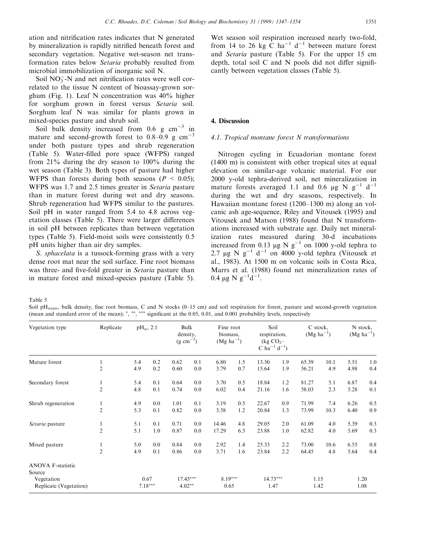ation and nitrification rates indicates that N generated by mineralization is rapidly nitrified beneath forest and secondary vegetation. Negative wet-season net transformation rates below Setaria probably resulted from microbial immobilization of inorganic soil N.

Soil  $NO<sub>3</sub><sup>-</sup>N$  and net nitrification rates were well correlated to the tissue N content of bioassay-grown sorghum (Fig. 1). Leaf N concentration was 40% higher for sorghum grown in forest versus Setaria soil. Sorghum leaf N was similar for plants grown in mixed-species pasture and shrub soil.

Soil bulk density increased from 0.6 g  $cm^{-3}$  in mature and second-growth forest to  $0.8-0.9$  g cm<sup>-3</sup> under both pasture types and shrub regeneration (Table 5). Water-filled pore space (WFPS) ranged from 21% during the dry season to 100% during the wet season (Table 3). Both types of pasture had higher WFPS than forests during both seasons ( $P < 0.05$ ); WFPS was 1.7 and 2.5 times greater in Setaria pasture than in mature forest during wet and dry seasons. Shrub regeneration had WFPS similar to the pastures. Soil pH in water ranged from 5.4 to 4.8 across vegetation classes (Table 5). There were larger differences in soil pH between replicates than between vegetation types (Table 5). Field-moist soils were consistently 0.5 pH units higher than air dry samples.

S. sphacelata is a tussock-forming grass with a very dense root mat near the soil surface. Fine root biomass was three- and five-fold greater in Setaria pasture than in mature forest and mixed-species pasture (Table 5).

Wet season soil respiration increased nearly two-fold, from 14 to 26 kg  $\dot{C}$  ha<sup>-1</sup> d<sup>-1</sup> between mature forest and Setaria pasture (Table 5). For the upper 15 cm depth, total soil  $C$  and  $N$  pools did not differ significantly between vegetation classes (Table 5).

#### 4. Discussion

### 4.1. Tropical montane forest N transformations

Nitrogen cycling in Ecuadorian montane forest (1400 m) is consistent with other tropical sites at equal elevation on similar-age volcanic material. For our 2000 y-old tephra-derived soil, net mineralization in mature forests averaged 1.1 and 0.6  $\mu$ g N g<sup>-1</sup> d<sup>-1</sup> during the wet and dry seasons, respectively. In Hawaiian montane forest  $(1200-1300$  m) along an volcanic ash age-sequence, Riley and Vitousek (1995) and Vitousek and Matson (1988) found that N transformations increased with substrate age. Daily net mineralization rates measured during 30-d incubations increased from 0.13  $\mu$ g Ng<sup>-1</sup> on 1000 y-old tephra to 2.7  $\mu$ g Ng<sup>-1</sup> d<sup>-1</sup> on 4000 y-old tephra (Vitousek et al., 1983). At 1500 m on volcanic soils in Costa Rica, Marrs et al. (1988) found net mineralization rates of  $0.4 \ \mu g \ N \ g^{-1} d^{-1}.$ 

Table 5

Soil pH<sub>water</sub>, bulk density, fine root biomass, C and N stocks (0-15 cm) and soil respiration for forest, pasture and second-growth vegetation (mean and standard error of the mean);  $\kappa$ ,  $\kappa$ ,  $\kappa$ ,  $\kappa$  significant at the 0.05, 0.01, and 0.001 probability levels, respectively

| Vegetation type                      | Replicate      | $pH_w$ , 2:1      |     | Bulk<br>density,<br>$(g \text{ cm}^{-3})$ |     | Fine root<br>biomass.<br>$(Mg ha^{-1})$ |     | Soil<br>respiration,<br>(kg $CO2$ -<br>C ha <sup>-1</sup> d <sup>-1</sup> ) |     | C stock,<br>$(Mg \, ha^{-1})$ |      | N stock,<br>$(Mg \text{ ha}^{-1})$ |     |
|--------------------------------------|----------------|-------------------|-----|-------------------------------------------|-----|-----------------------------------------|-----|-----------------------------------------------------------------------------|-----|-------------------------------|------|------------------------------------|-----|
| Mature forest                        | 1              | 5.4               | 0.2 | 0.62                                      | 0.1 | 6.80                                    | 1.5 | 13.50                                                                       | 1.9 | 65.39                         | 10.1 | 5.51                               | 1.0 |
|                                      | $\overline{2}$ | 4.9               | 0.2 | 0.60                                      | 0.0 | 3.79                                    | 0.7 | 15.64                                                                       | 1.9 | 56.21                         | 4.9  | 4.98                               | 0.4 |
| Secondary forest                     | 1              | 5.4               | 0.1 | 0.64                                      | 0.0 | 3.70                                    | 0.5 | 18.84                                                                       | 1.2 | 81.27                         | 5.1  | 6.87                               | 0.4 |
|                                      | $\overline{2}$ | 4.8               | 0.1 | 0.74                                      | 0.0 | 6.02                                    | 0.4 | 21.16                                                                       | 1.6 | 58.03                         | 2.3  | 5.28                               | 0.1 |
| Shrub regeneration                   | 1              | 4.9               | 0.0 | 1.01                                      | 0.1 | 3.19                                    | 0.5 | 22.67                                                                       | 0.9 | 71.99                         | 7.4  | 6.26                               | 0.5 |
|                                      | $\overline{2}$ | 5.3               | 0.1 | 0.82                                      | 0.0 | 3.58                                    | 1.2 | 20.84                                                                       | 1.3 | 73.99                         | 10.3 | 6.40                               | 0.9 |
| Setaria pasture                      | 1              | 5.1               | 0.1 | 0.71                                      | 0.0 | 14.46                                   | 4.8 | 29.05                                                                       | 2.0 | 61.09                         | 4.0  | 5.39                               | 0.3 |
|                                      | $\overline{2}$ | 5.1               | 1.0 | 0.87                                      | 0.0 | 17.29                                   | 6.3 | 23.88                                                                       | 1.0 | 62.82                         | 4.0  | 5.69                               | 0.3 |
| Mixed pasture                        | 1              | 5.0               | 0.0 | 0.84                                      | 0.0 | 2.92                                    | 1.4 | 25.33                                                                       | 2.2 | 73.00                         | 10.6 | 6.55                               | 0.8 |
|                                      | $\overline{2}$ | 4.9               | 0.1 | 0.86                                      | 0.0 | 3.71                                    | 1.6 | 23.84                                                                       | 2.2 | 64.45                         | 4.8  | 5.64                               | 0.4 |
| <b>ANOVA F-statistic</b><br>Source   |                |                   |     |                                           |     |                                         |     |                                                                             |     |                               |      |                                    |     |
| Vegetation<br>Replicate (Vegetation) |                | 0.67<br>$7.18***$ |     | $17.45***$<br>$4.02**$                    |     | $8.19***$<br>0.65                       |     | $14.73***$<br>1.47                                                          |     | 1.15<br>1.42                  |      | 1.20<br>1.08                       |     |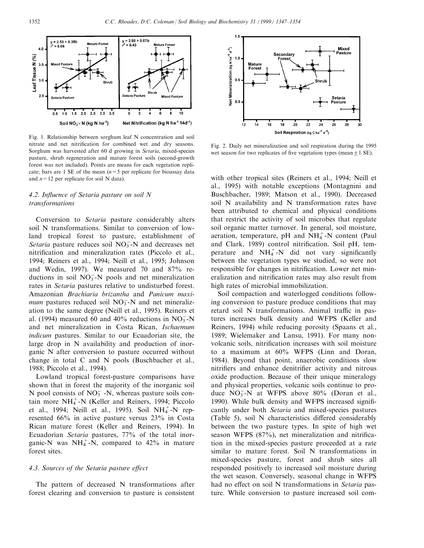

Fig. 1. Relationship between sorghum leaf N concentration and soil nitrate and net nitrification for combined wet and dry seasons. Sorghum was harvested after 60 d growing in Setaria, mixed-species pasture, shrub regeneration and mature forest soils (second-growth forest was not included). Points are means for each vegetation replicate; bars are 1 SE of the mean  $(n=5$  per replicate for bioassay data and  $n=12$  per replicate for soil N data).

# 4.2. Influence of Setaria pasture on soil  $N$ transformations

Conversion to Setaria pasture considerably alters soil N transformations. Similar to conversion of lowland tropical forest to pasture, establishment of Setaria pasture reduces soil  $NO<sub>3</sub><sup>-</sup>N$  and decreases net nitrification and mineralization rates (Piccolo et al., 1994; Reiners et al., 1994; Neill et al., 1995; Johnson and Wedin, 1997). We measured 70 and 87% reductions in soil  $NO<sub>3</sub><sup>-</sup>N$  pools and net mineralization rates in Setaria pastures relative to undisturbed forest. Amazonian Brachiaria brizantha and Panicum maxi*mum* pastures reduced soil  $NO<sub>3</sub><sup>-</sup>N$  and net mineralization to the same degree (Neill et al., 1995). Reiners et al. (1994) measured 60 and 40% reductions in  $NO_3^-$ -N and net mineralization in Costa Rican, Ischaemum indicum pastures. Similar to our Ecuadorian site, the large drop in N availability and production of inorganic N after conversion to pasture occurred without change in total C and N pools (Buschbacher et al., 1988; Piccolo et al., 1994).

Lowland tropical forest-pasture comparisons have shown that in forest the majority of the inorganic soil N pool consists of  $NO<sub>3</sub><sup>-</sup>$  N, whereas pasture soils contain more  $NH_4^+$ -N (Keller and Reiners, 1994; Piccolo et al., 1994; Neill et al., 1995). Soil NH<sub>4</sub>+-N represented 66% in active pasture versus 23% in Costa Rican mature forest (Keller and Reiners, 1994). In Ecuadorian Setaria pastures, 77% of the total inorganic-N was  $NH_4^+$ -N, compared to 42% in mature forest sites.

## 4.3. Sources of the Setaria pasture effect

The pattern of decreased N transformations after forest clearing and conversion to pasture is consistent



Fig. 2. Daily net mineralization and soil respiration during the 1995 wet season for two replicates of five vegetation types (mean  $\pm 1$  SE).

with other tropical sites (Reiners et al., 1994; Neill et al., 1995) with notable exceptions (Montagnini and Buschbacher, 1989; Matson et al., 1990). Decreased soil N availability and N transformation rates have been attributed to chemical and physical conditions that restrict the activity of soil microbes that regulate soil organic matter turnover. In general, soil moisture, aeration, temperature, pH and  $NH_4^+$ -N content (Paul and Clark, 1989) control nitrification. Soil pH, temperature and  $NH_4^+$ -N did not vary significantly between the vegetation types we studied, so were not responsible for changes in nitrification. Lower net mineralization and nitrification rates may also result from high rates of microbial immobilization.

Soil compaction and waterlogged conditions following conversion to pasture produce conditions that may retard soil N transformations. Animal traffic in pastures increases bulk density and WFPS (Keller and Reiners, 1994) while reducing porosity (Spaans et al., 1989; Wielemaker and Lansu, 1991). For many nonvolcanic soils, nitrification increases with soil moisture to a maximum at 60% WFPS (Linn and Doran, 1984). Beyond that point, anaerobic conditions slow nitrifiers and enhance denitrifier activity and nitrous oxide production. Because of their unique mineralogy and physical properties, volcanic soils continue to produce  $NO_3^-$ -N at WFPS above 80% (Doran et al., 1990). While bulk density and WFPS increased significantly under both Setaria and mixed-species pastures  $(Table 5)$ , soil N characteristics differed considerably between the two pasture types. In spite of high wet season WFPS  $(87%)$ , net mineralization and nitrification in the mixed-species pasture proceeded at a rate similar to mature forest. Soil N transformations in mixed-species pasture, forest and shrub sites all responded positively to increased soil moisture during the wet season. Conversely, seasonal change in WFPS had no effect on soil N transformations in Setaria pasture. While conversion to pasture increased soil com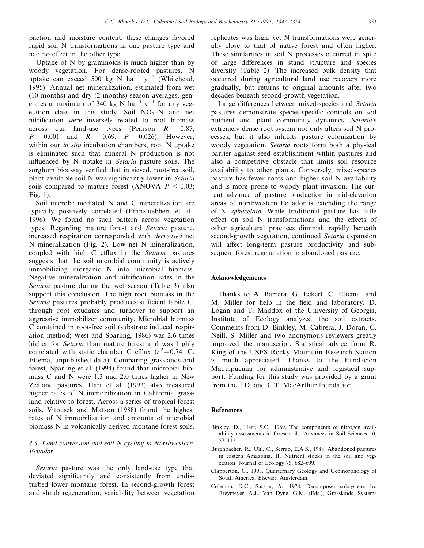paction and moisture content, these changes favored rapid soil N transformations in one pasture type and had no effect in the other type.

Uptake of N by graminoids is much higher than by woody vegetation. For dense-rooted pastures, N uptake can exceed 500 kg N ha<sup>-1</sup> y<sup>-1</sup> (Whitehead, 1995). Annual net mineralization, estimated from wet (10 months) and dry (2 months) season averages, generates a maximum of 340 kg N ha<sup>-1</sup> y<sup>-1</sup> for any vegetation class in this study. Soil  $NO<sub>3</sub><sup>-</sup>N$  and net nitrification were inversely related to root biomass across our land-use types (Pearson  $R = -0.87$ ;  $P = 0.001$  and  $R = -0.69$ ;  $P = 0.026$ ). However, within our *in situ* incubation chambers, root N uptake is eliminated such that mineral N production is not influenced by N uptake in *Setaria* pasture soils. The sorghum bioassay verified that in sieved, root-free soil, plant available soil  $N$  was significantly lower in Setaria soils compared to mature forest (ANOVA  $P < 0.03$ ; Fig. 1).

Soil microbe mediated N and C mineralization are typically positively correlated (Franzluebbers et al., 1996). We found no such pattern across vegetation types. Regarding mature forest and Setaria pasture, increased respiration corresponded with decreased net N mineralization (Fig. 2). Low net N mineralization, coupled with high C efflux in the Setaria pastures suggests that the soil microbial community is actively immobilizing inorganic N into microbial biomass. Negative mineralization and nitrification rates in the Setaria pasture during the wet season (Table 3) also support this conclusion. The high root biomass in the Setaria pastures probably produces sufficient labile  $C$ , through root exudates and turnover to support an aggressive immobilizer community. Microbial biomass C contained in root-free soil (substrate induced respiration method; West and Sparling, 1986) was 2.6 times higher for Setaria than mature forest and was highly correlated with static chamber C efflux  $(r^2=0.74; C$ . Ettema, unpublished data). Comparing grasslands and forest, Sparling et al. (1994) found that microbial biomass C and N were 1.3 and 2.0 times higher in New Zealand pastures. Hart et al. (1993) also measured higher rates of N immobilization in California grassland relative to forest. Across a series of tropical forest soils, Vitousek and Matson (1988) found the highest rates of N immobilization and amounts of microbial biomass N in volcanically-derived montane forest soils.

# 4.4. Land conversion and soil N cycling in Northwestern Ecuador

Setaria pasture was the only land-use type that deviated significantly and consistently from undisturbed lower montane forest. In second-growth forest and shrub regeneration, variability between vegetation

replicates was high, yet N transformations were generally close to that of native forest and often higher. These similarities in soil N processes occurred in spite of large differences in stand structure and species diversity (Table 2). The increased bulk density that occurred during agricultural land use recovers more gradually, but returns to original amounts after two decades beneath second-growth vegetation.

Large differences between mixed-species and Setaria pastures demonstrate species-specific controls on soil nutrient and plant community dynamics. Setaria's extremely dense root system not only alters soil N processes, but it also inhibits pasture colonization by woody vegetation. Setaria roots form both a physical barrier against seed establishment within pastures and also a competitive obstacle that limits soil resource availability to other plants. Conversely, mixed-species pasture has fewer roots and higher soil N availability and is more prone to woody plant invasion. The current advance of pasture production in mid-elevation areas of northwestern Ecuador is extending the range of S. sphacelata. While traditional pasture has little effect on soil  $N$  transformations and the effects of other agricultural practices diminish rapidly beneath second-growth vegetation, continued Setaria expansion will affect long-term pasture productivity and subsequent forest regeneration in abandoned pasture.

#### Acknowledgements

Thanks to A. Barrera, G. Eckert, C. Ettema, and M. Miller for help in the field and laboratory. D. Logan and T. Maddox of the University of Georgia, Institute of Ecology analyzed the soil extracts. Comments from D. Binkley, M. Cabrera, J. Doran, C. Neill, S. Miller and two anonymous reviewers greatly improved the manuscript. Statistical advice from R. King of the USFS Rocky Mountain Research Station is much appreciated. Thanks to the Fundacion Maquipucuna for administrative and logistical support. Funding for this study was provided by a grant from the J.D. and C.T. MacArthur foundation.

#### References

- Binkley, D., Hart, S.C., 1989. The components of nitrogen availability assessments in forest soils. Advances in Soil Sciences 10, 57±112.
- Buschbacher, R., Uhl, C., Serrao, E.A.S., 1988. Abandoned pastures in eastern Amazonia. II. Nutrient stocks in the soil and vegetation. Journal of Ecology 76, 682–699.
- Clapperton, C., 1993. Quarternary Geology and Geomorphology of South America. Elsevier, Amsterdam.
- Coleman, D.C., Sasson, A., 1978. Decomposer subsystem. In: Breymeyer, A.J., Van Dyne, G.M. (Eds.), Grasslands, Systems